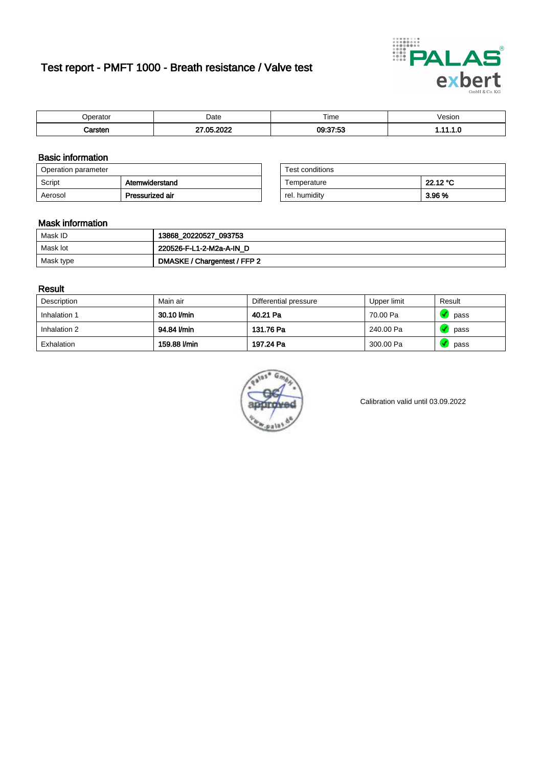# Test report - PMFT 1000 - Breath resistance / Valve test



| nerator <sup>'</sup> | Date      | $- \cdot$<br>Time | /esion |
|----------------------|-----------|-------------------|--------|
|                      | റററ<br>ΛE | 09:37:53          | .      |

### Basic information

| Operation parameter |                 | Test conditions |          |
|---------------------|-----------------|-----------------|----------|
| Script              | Atemwiderstand  | Temperature     | 22.12 °C |
| Aerosol             | Pressurized air | rel. humidity   | 3.96 %   |

| Test conditions |          |
|-----------------|----------|
| Temperature     | 22.12 °C |
| rel. humidity   | 3.96 %   |

### Mask information

| Mask ID   | 13868_20220527_093753        |
|-----------|------------------------------|
| Mask lot  | 220526-F-L1-2-M2a-A-IN D     |
| Mask type | DMASKE / Chargentest / FFP 2 |

### Result

| Description  | Main air     | Differential pressure | Upper limit | Result |
|--------------|--------------|-----------------------|-------------|--------|
| Inhalation 1 | 30.10 l/min  | 40.21 Pa              | 70.00 Pa    | pass   |
| Inhalation 2 | 94.84 l/min  | 131.76 Pa             | 240.00 Pa   | pass   |
| Exhalation   | 159.88 l/min | 197.24 Pa             | 300.00 Pa   | pass   |



Calibration valid until 03.09.2022